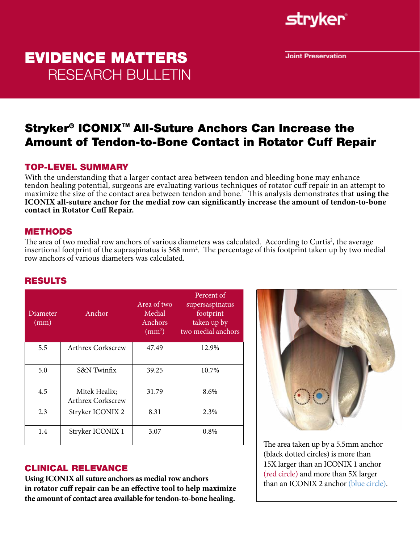

**Joint Preservation** 

# EVIDENCE MATTERS RESEARCH BULLETIN

## Stryker® ICONIX™ All-Suture Anchors Can Increase the Amount of Tendon-to-Bone Contact in Rotator Cuff Repair

### TOP-LEVEL SUMMARY

With the understanding that a larger contact area between tendon and bleeding bone may enhance tendon healing potential, surgeons are evaluating various techniques of rotator cuff repair in an attempt to maximize the size of the contact area between tendon and bone.1 This analysis demonstrates that **using the ICONIX all-suture anchor for the medial row can significantly increase the amount of tendon-to-bone contact in Rotator Cuff Repair.**

#### METHODS

The area of two medial row anchors of various diameters was calculated. According to Curtis<sup>2</sup>, the average insertional footprint of the supraspinatus is 368 mm2 . The percentage of this footprint taken up by two medial row anchors of various diameters was calculated.

#### RESULTS

| Diameter<br>(mm) | Anchor                                    | Area of two<br>Medial<br>Anchors<br>$\rm (mm^2)$ | Percent of<br>supersaspinatus<br>footprint<br>taken up by<br>two medial anchors |
|------------------|-------------------------------------------|--------------------------------------------------|---------------------------------------------------------------------------------|
| 5.5              | <b>Arthrex Corkscrew</b>                  | 47.49                                            | 12.9%                                                                           |
| 5.0              | S&N Twinfix                               | 39.25                                            | 10.7%                                                                           |
| 4.5              | Mitek Healix;<br><b>Arthrex Corkscrew</b> | 31.79                                            | 8.6%                                                                            |
| 2.3              | Stryker ICONIX 2                          | 8.31                                             | 2.3%                                                                            |
| 1.4              | Stryker ICONIX 1                          | 3.07                                             | $0.8\%$                                                                         |

# CLINICAL RELEVANCE

**Using ICONIX all suture anchors as medial row anchors in rotator cuff repair can be an effective tool to help maximize the amount of contact area available for tendon-to-bone healing.**



The area taken up by a 5.5mm anchor (black dotted circles) is more than 15X larger than an ICONIX 1 anchor (red circle) and more than 5X larger than an ICONIX 2 anchor (blue circle).